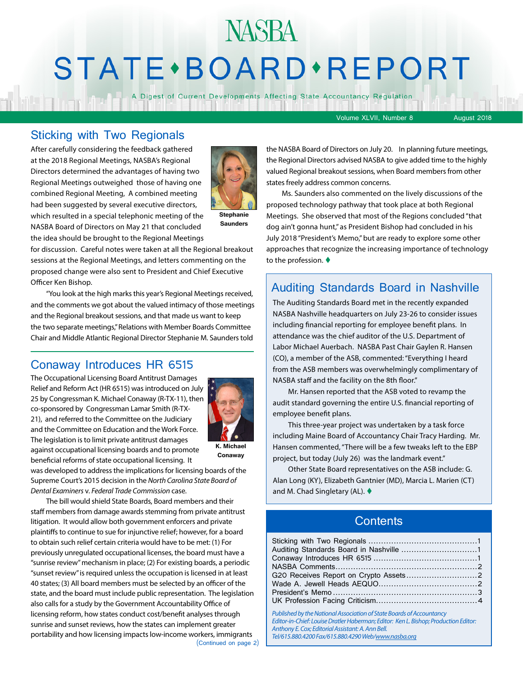# **NASBA** STATE · BOARD · REPORT

A Digest of Current Developments Affecting State Accountancy Regulation

Volume XLVII, Number 8 August 2018

#### Sticking with Two Regionals

After carefully considering the feedback gathered at the 2018 Regional Meetings, NASBA's Regional Directors determined the advantages of having two Regional Meetings outweighed those of having one combined Regional Meeting, A combined meeting had been suggested by several executive directors, which resulted in a special telephonic meeting of the NASBA Board of Directors on May 21 that concluded the idea should be brought to the Regional Meetings



**Stephanie Saunders**

for discussion. Careful notes were taken at all the Regional breakout sessions at the Regional Meetings, and letters commenting on the proposed change were also sent to President and Chief Executive Officer Ken Bishop.

"You look at the high marks this year's Regional Meetings received, and the comments we got about the valued intimacy of those meetings and the Regional breakout sessions, and that made us want to keep the two separate meetings," Relations with Member Boards Committee Chair and Middle Atlantic Regional Director Stephanie M. Saunders told

#### Conaway Introduces HR 6515

The Occupational Licensing Board Antitrust Damages Relief and Reform Act (HR 6515) was introduced on July 25 by Congressman K. Michael Conaway (R-TX-11), then co-sponsored by Congressman Lamar Smith (R-TX-21), and referred to the Committee on the Judiciary and the Committee on Education and the Work Force. The legislation is to limit private antitrust damages against occupational licensing boards and to promote

beneficial reforms of state occupational licensing. It



**K. Michael Conaway**

was developed to address the implications for licensing boards of the Supreme Court's 2015 decision in the *North Carolina State Board of Dental Examiners* v. *Federal Trade Commission* case.

(Continued on page 2) The bill would shield State Boards, Board members and their staff members from damage awards stemming from private antitrust litigation. It would allow both government enforcers and private plaintiffs to continue to sue for injunctive relief; however, for a board to obtain such relief certain criteria would have to be met: (1) For previously unregulated occupational licenses, the board must have a "sunrise review" mechanism in place; (2) For existing boards, a periodic "sunset review" is required unless the occupation is licensed in at least 40 states; (3) All board members must be selected by an officer of the state, and the board must include public representation. The legislation also calls for a study by the Government Accountability Office of licensing reform, how states conduct cost/benefit analyses through sunrise and sunset reviews, how the states can implement greater portability and how licensing impacts low-income workers, immigrants

the NASBA Board of Directors on July 20. In planning future meetings, the Regional Directors advised NASBA to give added time to the highly valued Regional breakout sessions, when Board members from other states freely address common concerns.

Ms. Saunders also commented on the lively discussions of the proposed technology pathway that took place at both Regional Meetings. She observed that most of the Regions concluded "that dog ain't gonna hunt," as President Bishop had concluded in his July 2018 "President's Memo," but are ready to explore some other approaches that recognize the increasing importance of technology to the profession.  $\blacklozenge$ 

#### Auditing Standards Board in Nashville

The Auditing Standards Board met in the recently expanded NASBA Nashville headquarters on July 23-26 to consider issues including financial reporting for employee benefit plans. In attendance was the chief auditor of the U.S. Department of Labor Michael Auerbach. NASBA Past Chair Gaylen R. Hansen (CO), a member of the ASB, commented: "Everything I heard from the ASB members was overwhelmingly complimentary of NASBA staff and the facility on the 8th floor."

Mr. Hansen reported that the ASB voted to revamp the audit standard governing the entire U.S. financial reporting of employee benefit plans.

This three-year project was undertaken by a task force including Maine Board of Accountancy Chair Tracy Harding. Mr. Hansen commented, "There will be a few tweaks left to the EBP project, but today (July 26) was the landmark event."

Other State Board representatives on the ASB include: G. Alan Long (KY), Elizabeth Gantnier (MD), Marcia L. Marien (CT) and M. Chad Singletary (AL).  $\blacklozenge$ 

#### **Contents**

| Published by the National Association of State Boards of Accountancy<br>Editor-in-Chief: Louise Dratler Haberman; Editor: Ken L. Bishop; Production Editor: |  |
|-------------------------------------------------------------------------------------------------------------------------------------------------------------|--|

*Anthony E. Cox; Editorial Assistant: A. Ann Bell. Tel/615.880.4200 Fax/615.880.4290 Web[/www.nasba.org](http://www.nasba.org)*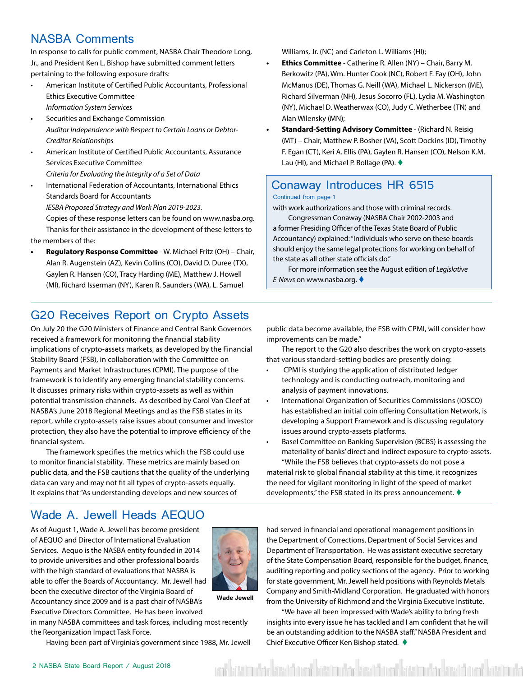#### <span id="page-1-0"></span>NASBA Comments

In response to calls for public comment, NASBA Chair Theodore Long, Jr., and President Ken L. Bishop have submitted comment letters pertaining to the following exposure drafts:

- American Institute of Certified Public Accountants, Professional Ethics Executive Committee *Information System Services*
- Securities and Exchange Commission *Auditor Independence with Respect to Certain Loans or Debtor-Creditor Relationships*
- American Institute of Certified Public Accountants, Assurance Services Executive Committee *Criteria for Evaluating the Integrity of a Set of Data*
- International Federation of Accountants, International Ethics Standards Board for Accountants *IESBA Proposed Strategy and Work Plan 2019-2023.* Copies of these response letters can be found on www.nasba.org. Thanks for their assistance in the development of these letters to the members of the:
- **• Regulatory Response Committee** W. Michael Fritz (OH) Chair, Alan R. Augenstein (AZ), Kevin Collins (CO), David D. Duree (TX), Gaylen R. Hansen (CO), Tracy Harding (ME), Matthew J. Howell (MI), Richard Isserman (NY), Karen R. Saunders (WA), L. Samuel

Williams, Jr. (NC) and Carleton L. Williams (HI);

- **• Ethics Committee** Catherine R. Allen (NY) Chair, Barry M. Berkowitz (PA), Wm. Hunter Cook (NC), Robert F. Fay (OH), John McManus (DE), Thomas G. Neill (WA), Michael L. Nickerson (ME), Richard Silverman (NH), Jesus Socorro (FL), Lydia M. Washington (NY), Michael D. Weatherwax (CO), Judy C. Wetherbee (TN) and Alan Wilensky (MN);
- **• Standard-Setting Advisory Committee** (Richard N. Reisig (MT) – Chair, Matthew P. Bosher (VA), Scott Dockins (ID), Timothy F. Egan (CT), Keri A. Ellis (PA), Gaylen R. Hansen (CO), Nelson K.M. Lau (HI), and Michael P. Rollage (PA).  $\blacklozenge$

#### Conaway Introduces HR 6515 Continued from page 1

with work authorizations and those with criminal records.

Congressman Conaway (NASBA Chair 2002-2003 and a former Presiding Officer of the Texas State Board of Public Accountancy) explained: "Individuals who serve on these boards should enjoy the same legal protections for working on behalf of the state as all other state officials do."

For more information see the August edition of *Legislative E-News* on www.nasba.org. ♦

#### G20 Receives Report on Crypto Assets

On July 20 the G20 Ministers of Finance and Central Bank Governors received a framework for monitoring the financial stability implications of crypto-assets markets, as developed by the Financial Stability Board (FSB), in collaboration with the Committee on Payments and Market Infrastructures (CPMI). The purpose of the framework is to identify any emerging financial stability concerns. It discusses primary risks within crypto-assets as well as within potential transmission channels. As described by Carol Van Cleef at NASBA's June 2018 Regional Meetings and as the FSB states in its report, while crypto-assets raise issues about consumer and investor protection, they also have the potential to improve efficiency of the financial system.

The framework specifies the metrics which the FSB could use to monitor financial stability. These metrics are mainly based on public data, and the FSB cautions that the quality of the underlying data can vary and may not fit all types of crypto-assets equally. It explains that "As understanding develops and new sources of

public data become available, the FSB with CPMI, will consider how improvements can be made."

The report to the G20 also describes the work on crypto-assets that various standard-setting bodies are presently doing:

- CPMI is studying the application of distributed ledger technology and is conducting outreach, monitoring and analysis of payment innovations.
- International Organization of Securities Commissions (IOSCO) has established an initial coin offering Consultation Network, is developing a Support Framework and is discussing regulatory issues around crypto-assets platforms.
- Basel Committee on Banking Supervision (BCBS) is assessing the materiality of banks' direct and indirect exposure to crypto-assets. "While the FSB believes that crypto-assets do not pose a

material risk to global financial stability at this time, it recognizes the need for vigilant monitoring in light of the speed of market developments," the FSB stated in its press announcement.  $\blacklozenge$ 

#### Wade A. Jewell Heads AEQUO

As of August 1, Wade A. Jewell has become president of AEQUO and Director of International Evaluation Services. Aequo is the NASBA entity founded in 2014 to provide universities and other professional boards with the high standard of evaluations that NASBA is able to offer the Boards of Accountancy. Mr. Jewell had been the executive director of the Virginia Board of Accountancy since 2009 and is a past chair of NASBA's Executive Directors Committee. He has been involved



**Wade Jewell**

in many NASBA committees and task forces, including most recently the Reorganization Impact Task Force.

Having been part of Virginia's government since 1988, Mr. Jewell

had served in financial and operational management positions in the Department of Corrections, Department of Social Services and Department of Transportation. He was assistant executive secretary of the State Compensation Board, responsible for the budget, finance, auditing reporting and policy sections of the agency. Prior to working for state government, Mr. Jewell held positions with Reynolds Metals Company and Smith-Midland Corporation. He graduated with honors from the University of Richmond and the Virginia Executive Institute.

"We have all been impressed with Wade's ability to bring fresh insights into every issue he has tackled and I am confident that he will be an outstanding addition to the NASBA staff," NASBA President and Chief Executive Officer Ken Bishop stated. ♦

ita'na kimidinal kita'naka kimidinal ki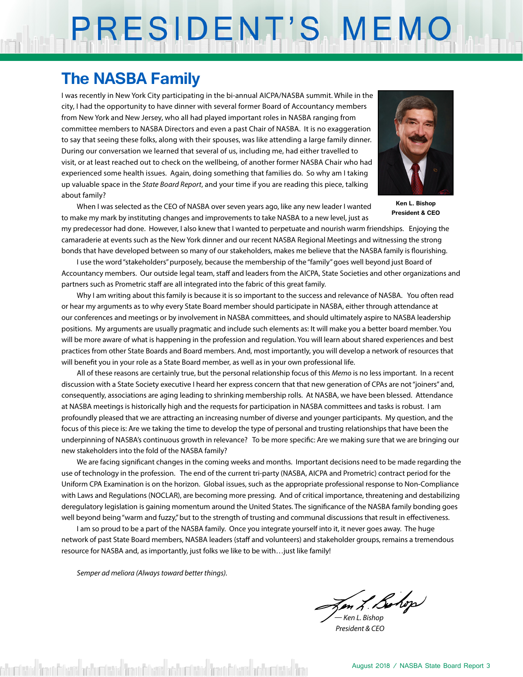# PRESIDENT'S MEMO

### **The NASBA Family**

I was recently in New York City participating in the bi-annual AICPA/NASBA summit. While in the city, I had the opportunity to have dinner with several former Board of Accountancy members from New York and New Jersey, who all had played important roles in NASBA ranging from committee members to NASBA Directors and even a past Chair of NASBA. It is no exaggeration to say that seeing these folks, along with their spouses, was like attending a large family dinner. During our conversation we learned that several of us, including me, had either travelled to visit, or at least reached out to check on the wellbeing, of another former NASBA Chair who had experienced some health issues. Again, doing something that families do. So why am I taking up valuable space in the *State Board Report*, and your time if you are reading this piece, talking about family?

When I was selected as the CEO of NASBA over seven years ago, like any new leader I wanted to make my mark by instituting changes and improvements to take NASBA to a new level, just as



**Ken L. Bishop President & CEO**

my predecessor had done. However, I also knew that I wanted to perpetuate and nourish warm friendships. Enjoying the camaraderie at events such as the New York dinner and our recent NASBA Regional Meetings and witnessing the strong bonds that have developed between so many of our stakeholders, makes me believe that the NASBA family is flourishing.

I use the word "stakeholders" purposely, because the membership of the "family" goes well beyond just Board of Accountancy members. Our outside legal team, staff and leaders from the AICPA, State Societies and other organizations and partners such as Prometric staff are all integrated into the fabric of this great family.

Why I am writing about this family is because it is so important to the success and relevance of NASBA. You often read or hear my arguments as to why every State Board member should participate in NASBA, either through attendance at our conferences and meetings or by involvement in NASBA committees, and should ultimately aspire to NASBA leadership positions. My arguments are usually pragmatic and include such elements as: It will make you a better board member. You will be more aware of what is happening in the profession and regulation. You will learn about shared experiences and best practices from other State Boards and Board members. And, most importantly, you will develop a network of resources that will benefit you in your role as a State Board member, as well as in your own professional life.

All of these reasons are certainly true, but the personal relationship focus of this *Memo* is no less important. In a recent discussion with a State Society executive I heard her express concern that that new generation of CPAs are not "joiners" and, consequently, associations are aging leading to shrinking membership rolls. At NASBA, we have been blessed. Attendance at NASBA meetings is historically high and the requests for participation in NASBA committees and tasks is robust. I am profoundly pleased that we are attracting an increasing number of diverse and younger participants. My question, and the focus of this piece is: Are we taking the time to develop the type of personal and trusting relationships that have been the underpinning of NASBA's continuous growth in relevance? To be more specific: Are we making sure that we are bringing our new stakeholders into the fold of the NASBA family?

We are facing significant changes in the coming weeks and months. Important decisions need to be made regarding the use of technology in the profession. The end of the current tri-party (NASBA, AICPA and Prometric) contract period for the Uniform CPA Examination is on the horizon. Global issues, such as the appropriate professional response to Non-Compliance with Laws and Regulations (NOCLAR), are becoming more pressing. And of critical importance, threatening and destabilizing deregulatory legislation is gaining momentum around the United States. The significance of the NASBA family bonding goes well beyond being "warm and fuzzy," but to the strength of trusting and communal discussions that result in effectiveness.

I am so proud to be a part of the NASBA family. Once you integrate yourself into it, it never goes away. The huge network of past State Board members, NASBA leaders (staff and volunteers) and stakeholder groups, remains a tremendous resource for NASBA and, as importantly, just folks we like to be with…just like family!

*Semper ad meliora (Always toward better things).*

*— Ken L. Bishop*

 *President & CEO*

district from Edward adductistical from Edward adductistical from Edward adductistical from